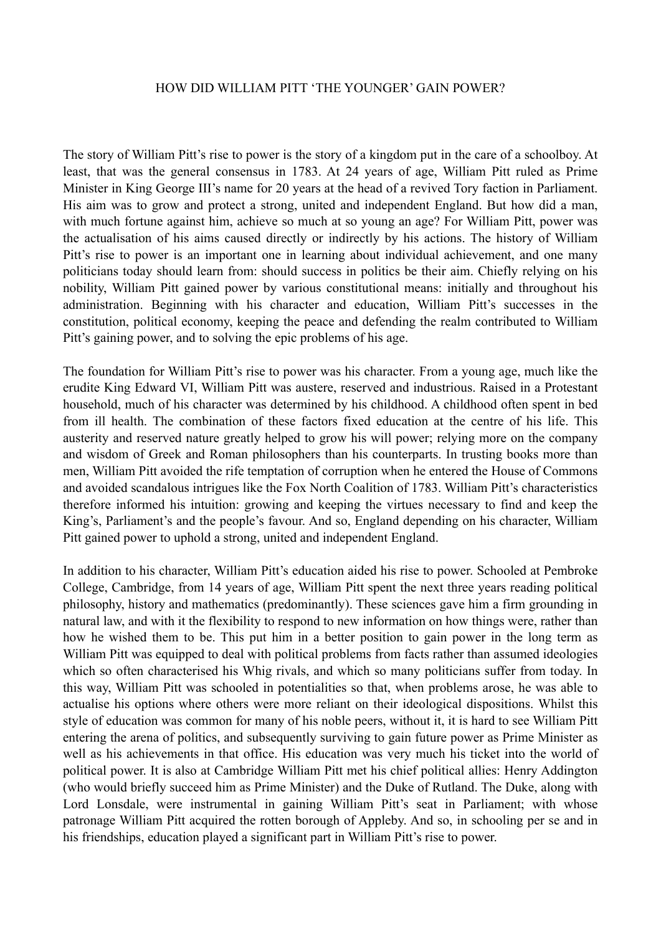## HOW DID WILLIAM PITT 'THE YOUNGER' GAIN POWER?

The story of William Pitt's rise to power is the story of a kingdom put in the care of a schoolboy. At least, that was the general consensus in 1783. At 24 years of age, William Pitt ruled as Prime Minister in King George III's name for 20 years at the head of a revived Tory faction in Parliament. His aim was to grow and protect a strong, united and independent England. But how did a man, with much fortune against him, achieve so much at so young an age? For William Pitt, power was the actualisation of his aims caused directly or indirectly by his actions. The history of William Pitt's rise to power is an important one in learning about individual achievement, and one many politicians today should learn from: should success in politics be their aim. Chiefly relying on his nobility, William Pitt gained power by various constitutional means: initially and throughout his administration. Beginning with his character and education, William Pitt's successes in the constitution, political economy, keeping the peace and defending the realm contributed to William Pitt's gaining power, and to solving the epic problems of his age.

The foundation for William Pitt's rise to power was his character. From a young age, much like the erudite King Edward VI, William Pitt was austere, reserved and industrious. Raised in a Protestant household, much of his character was determined by his childhood. A childhood often spent in bed from ill health. The combination of these factors fixed education at the centre of his life. This austerity and reserved nature greatly helped to grow his will power; relying more on the company and wisdom of Greek and Roman philosophers than his counterparts. In trusting books more than men, William Pitt avoided the rife temptation of corruption when he entered the House of Commons and avoided scandalous intrigues like the Fox North Coalition of 1783. William Pitt's characteristics therefore informed his intuition: growing and keeping the virtues necessary to find and keep the King's, Parliament's and the people's favour. And so, England depending on his character, William Pitt gained power to uphold a strong, united and independent England.

In addition to his character, William Pitt's education aided his rise to power. Schooled at Pembroke College, Cambridge, from 14 years of age, William Pitt spent the next three years reading political philosophy, history and mathematics (predominantly). These sciences gave him a firm grounding in natural law, and with it the flexibility to respond to new information on how things were, rather than how he wished them to be. This put him in a better position to gain power in the long term as William Pitt was equipped to deal with political problems from facts rather than assumed ideologies which so often characterised his Whig rivals, and which so many politicians suffer from today. In this way, William Pitt was schooled in potentialities so that, when problems arose, he was able to actualise his options where others were more reliant on their ideological dispositions. Whilst this style of education was common for many of his noble peers, without it, it is hard to see William Pitt entering the arena of politics, and subsequently surviving to gain future power as Prime Minister as well as his achievements in that office. His education was very much his ticket into the world of political power. It is also at Cambridge William Pitt met his chief political allies: Henry Addington (who would briefly succeed him as Prime Minister) and the Duke of Rutland. The Duke, along with Lord Lonsdale, were instrumental in gaining William Pitt's seat in Parliament; with whose patronage William Pitt acquired the rotten borough of Appleby. And so, in schooling per se and in his friendships, education played a significant part in William Pitt's rise to power.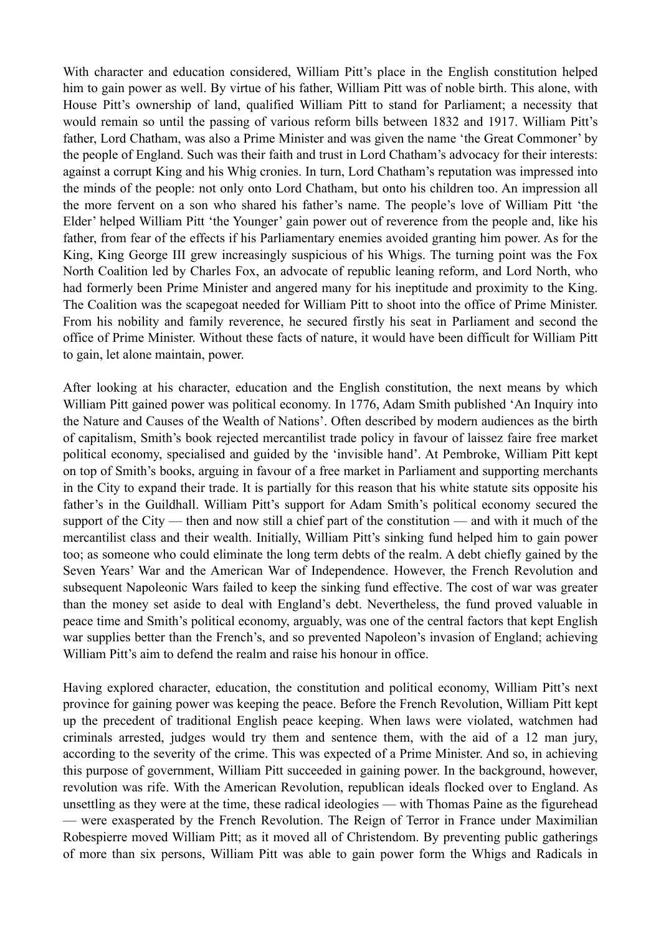With character and education considered, William Pitt's place in the English constitution helped him to gain power as well. By virtue of his father, William Pitt was of noble birth. This alone, with House Pitt's ownership of land, qualified William Pitt to stand for Parliament; a necessity that would remain so until the passing of various reform bills between 1832 and 1917. William Pitt's father, Lord Chatham, was also a Prime Minister and was given the name 'the Great Commoner' by the people of England. Such was their faith and trust in Lord Chatham's advocacy for their interests: against a corrupt King and his Whig cronies. In turn, Lord Chatham's reputation was impressed into the minds of the people: not only onto Lord Chatham, but onto his children too. An impression all the more fervent on a son who shared his father's name. The people's love of William Pitt 'the Elder' helped William Pitt 'the Younger' gain power out of reverence from the people and, like his father, from fear of the effects if his Parliamentary enemies avoided granting him power. As for the King, King George III grew increasingly suspicious of his Whigs. The turning point was the Fox North Coalition led by Charles Fox, an advocate of republic leaning reform, and Lord North, who had formerly been Prime Minister and angered many for his ineptitude and proximity to the King. The Coalition was the scapegoat needed for William Pitt to shoot into the office of Prime Minister. From his nobility and family reverence, he secured firstly his seat in Parliament and second the office of Prime Minister. Without these facts of nature, it would have been difficult for William Pitt to gain, let alone maintain, power.

After looking at his character, education and the English constitution, the next means by which William Pitt gained power was political economy. In 1776, Adam Smith published 'An Inquiry into the Nature and Causes of the Wealth of Nations'. Often described by modern audiences as the birth of capitalism, Smith's book rejected mercantilist trade policy in favour of laissez faire free market political economy, specialised and guided by the 'invisible hand'. At Pembroke, William Pitt kept on top of Smith's books, arguing in favour of a free market in Parliament and supporting merchants in the City to expand their trade. It is partially for this reason that his white statute sits opposite his father's in the Guildhall. William Pitt's support for Adam Smith's political economy secured the support of the City — then and now still a chief part of the constitution — and with it much of the mercantilist class and their wealth. Initially, William Pitt's sinking fund helped him to gain power too; as someone who could eliminate the long term debts of the realm. A debt chiefly gained by the Seven Years' War and the American War of Independence. However, the French Revolution and subsequent Napoleonic Wars failed to keep the sinking fund effective. The cost of war was greater than the money set aside to deal with England's debt. Nevertheless, the fund proved valuable in peace time and Smith's political economy, arguably, was one of the central factors that kept English war supplies better than the French's, and so prevented Napoleon's invasion of England; achieving William Pitt's aim to defend the realm and raise his honour in office.

Having explored character, education, the constitution and political economy, William Pitt's next province for gaining power was keeping the peace. Before the French Revolution, William Pitt kept up the precedent of traditional English peace keeping. When laws were violated, watchmen had criminals arrested, judges would try them and sentence them, with the aid of a 12 man jury, according to the severity of the crime. This was expected of a Prime Minister. And so, in achieving this purpose of government, William Pitt succeeded in gaining power. In the background, however, revolution was rife. With the American Revolution, republican ideals flocked over to England. As unsettling as they were at the time, these radical ideologies — with Thomas Paine as the figurehead — were exasperated by the French Revolution. The Reign of Terror in France under Maximilian Robespierre moved William Pitt; as it moved all of Christendom. By preventing public gatherings of more than six persons, William Pitt was able to gain power form the Whigs and Radicals in